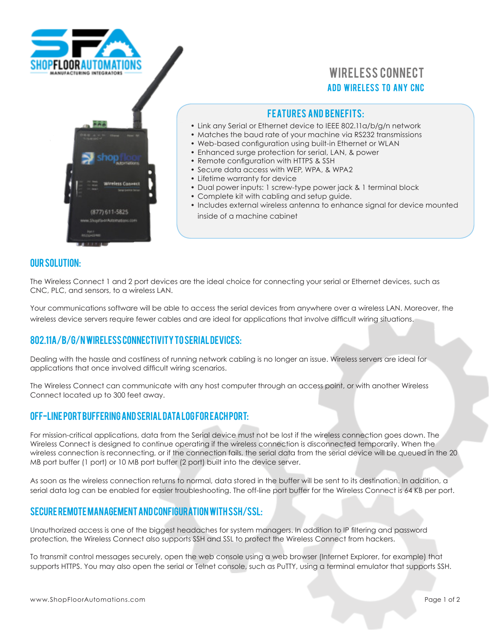

# **ADD WIRELESS TO ANY CNC** Wireless Connect

## **FEATURES AND BENEFITS:**

- Link any Serial or Ethernet device to IEEE 802.11a/b/g/n network
- Matches the baud rate of your machine via RS232 transmissions
- Web-based configuration using built-in Ethernet or WLAN
- Enhanced surge protection for serial, LAN, & power
- Remote configuration with HTTPS & SSH
- Secure data access with WEP, WPA, & WPA2
- Lifetime warranty for device
- Dual power inputs: 1 screw-type power jack & 1 terminal block
- Complete kit with cabling and setup guide.
- Includes external wireless antenna to enhance signal for device mounted inside of a machine cabinet

#### our solution:

The Wireless Connect 1 and 2 port devices are the ideal choice for connecting your serial or Ethernet devices, such as CNC, PLC, and sensors, to a wireless LAN.

Your communications software will be able to access the serial devices from anywhere over a wireless LAN. Moreover, the wireless device servers require fewer cables and are ideal for applications that involve difficult wiring situations.

### 802.11a/b/g/n Wireless Connectivity to Serial Devices:

Dealing with the hassle and costliness of running network cabling is no longer an issue. Wireless servers are ideal for applications that once involved difficult wiring scenarios.

The Wireless Connect can communicate with any host computer through an access point, or with another Wireless Connect located up to 300 feet away.

### Off-line Port Buffering and Serial Data Log for Each Port:

For mission-critical applications, data from the Serial device must not be lost if the wireless connection goes down. The Wireless Connect is designed to continue operating if the wireless connection is disconnected temporarily. When the wireless connection is reconnecting, or if the connection fails, the serial data from the serial device will be queued in the 20 MB port buffer (1 port) or 10 MB port buffer (2 port) built into the device server.

As soon as the wireless connection returns to normal, data stored in the buffer will be sent to its destination. In addition, a serial data log can be enabled for easier troubleshooting. The off-line port buffer for the Wireless Connect is 64 KB per port.

### Secure Remote Management and Configuration with SSH/SSL:

Unauthorized access is one of the biggest headaches for system managers. In addition to IP filtering and password protection, the Wireless Connect also supports SSH and SSL to protect the Wireless Connect from hackers.

To transmit control messages securely, open the web console using a web browser (Internet Explorer, for example) that supports HTTPS. You may also open the serial or Telnet console, such as PuTTY, using a terminal emulator that supports SSH.